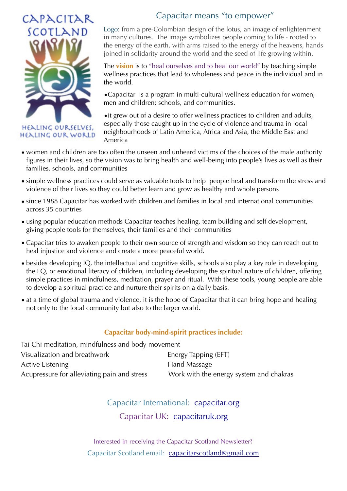

HEALING OURSELVES, **HEALING OUR WORLD** 

## Capacitar means "to empower"

Logo: from a pre-Colombian design of the lotus, an image of enlightenment in many cultures. The image symbolizes people coming to life - rooted to the energy of the earth, with arms raised to the energy of the heavens, hands joined in solidarity around the world and the seed of life growing within.

The **vision** is to "heal ourselves and to heal our world" by teaching simple wellness practices that lead to wholeness and peace in the individual and in the world.

•Capacitar is a program in multi-cultural wellness education for women, men and children; schools, and communities.

•it grew out of a desire to offer wellness practices to children and adults, especially those caught up in the cycle of violence and trauma in local neighbourhoods of Latin America, Africa and Asia, the Middle East and America

- women and children are too often the unseen and unheard victims of the choices of the male authority figures in their lives, so the vision was to bring health and well-being into people's lives as well as their families, schools, and communities
- simple wellness practices could serve as valuable tools to help people heal and transform the stress and violence of their lives so they could better learn and grow as healthy and whole persons
- since 1988 Capacitar has worked with children and families in local and international communities across 35 countries
- using popular education methods Capacitar teaches healing, team building and self development, giving people tools for themselves, their families and their communities
- Capacitar tries to awaken people to their own source of strength and wisdom so they can reach out to heal injustice and violence and create a more peaceful world.
- besides developing IQ, the intellectual and cognitive skills, schools also play a key role in developing the EQ, or emotional literacy of children, including developing the spiritual nature of children, offering simple practices in mindfulness, meditation, prayer and ritual. With these tools, young people are able to develop a spiritual practice and nurture their spirits on a daily basis.
- at a time of global trauma and violence, it is the hope of Capacitar that it can bring hope and healing not only to the local community but also to the larger world.

#### **Capacitar body-mind-spirit practices include:**

| Tai Chi meditation, mindfulness and body movement |                                         |
|---------------------------------------------------|-----------------------------------------|
| Visualization and breathwork                      | Energy Tapping (EFT)                    |
| Active Listening                                  | Hand Massage                            |
| Acupressure for alleviating pain and stress       | Work with the energy system and chakras |

# Capacitar International: capacitar.org Capacitar UK:capacitaruk.org

Interested in receiving the Capacitar Scotland Newsletter? Capacitar Scotland email: capacitarscotland@gmail.com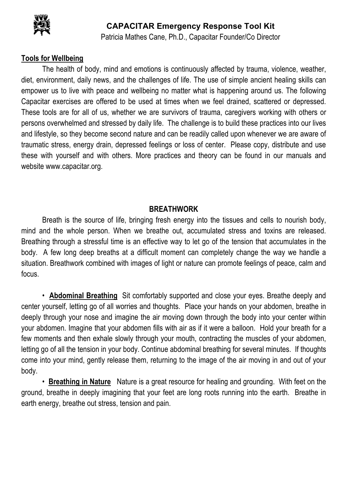

## **CAPACITAR Emergency Response Tool Kit**

Patricia Mathes Cane, Ph.D., Capacitar Founder/Co Director

## **Tools for Wellbeing**

The health of body, mind and emotions is continuously affected by trauma, violence, weather, diet, environment, daily news, and the challenges of life. The use of simple ancient healing skills can empower us to live with peace and wellbeing no matter what is happening around us. The following Capacitar exercises are offered to be used at times when we feel drained, scattered or depressed. These tools are for all of us, whether we are survivors of trauma, caregivers working with others or persons overwhelmed and stressed by daily life. The challenge is to build these practices into our lives and lifestyle, so they become second nature and can be readily called upon whenever we are aware of traumatic stress, energy drain, depressed feelings or loss of center. Please copy, distribute and use these with yourself and with others. More practices and theory can be found in our manuals and website www.capacitar.org.

#### **BREATHWORK**

Breath is the source of life, bringing fresh energy into the tissues and cells to nourish body, mind and the whole person. When we breathe out, accumulated stress and toxins are released. Breathing through a stressful time is an effective way to let go of the tension that accumulates in the body. A few long deep breaths at a difficult moment can completely change the way we handle a situation. Breathwork combined with images of light or nature can promote feelings of peace, calm and focus.

• **Abdominal Breathing** Sit comfortably supported and close your eyes. Breathe deeply and center yourself, letting go of all worries and thoughts. Place your hands on your abdomen, breathe in deeply through your nose and imagine the air moving down through the body into your center within your abdomen. Imagine that your abdomen fills with air as if it were a balloon. Hold your breath for a few moments and then exhale slowly through your mouth, contracting the muscles of your abdomen, letting go of all the tension in your body. Continue abdominal breathing for several minutes. If thoughts come into your mind, gently release them, returning to the image of the air moving in and out of your body.

• **Breathing in Nature** Nature is a great resource for healing and grounding. With feet on the ground, breathe in deeply imagining that your feet are long roots running into the earth. Breathe in earth energy, breathe out stress, tension and pain.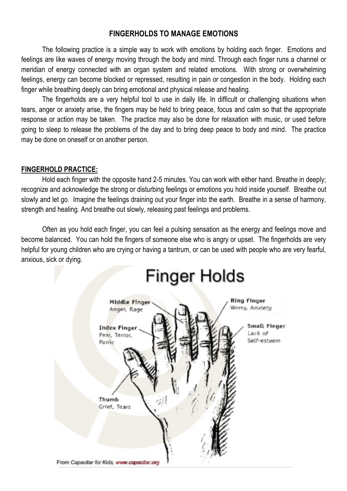#### **FINGERHOLDS TO MANAGE EMOTIONS**

The following practice is a simple way to work with emotions by holding each finger. Emotions and feelings are like waves of energy moving through the body and mind. Through each finger runs a channel or meridian of energy connected with an organ system and related emotions. With strong or overwhelming feelings, energy can become blocked or repressed, resulting in pain or congestion in the body. Holding each finger while breathing deeply can bring emotional and physical release and healing.

The fingerholds are a very helpful tool to use in daily life. In difficult or challenging situations when tears, anger or anxiety arise, the fingers may be held to bring peace, focus and calm so that the appropriate response or action may be taken. The practice may also be done for relaxation with music, or used before going to sleep to release the problems of the day and to bring deep peace to body and mind. The practice may be done on oneself or on another person.

#### **FINGERHOLD PRACTICE:**

Hold each finger with the opposite hand 2-5 minutes. You can work with either hand. Breathe in deeply; recognize and acknowledge the strong or disturbing feelings or emotions you hold inside yourself. Breathe out slowly and let go. Imagine the feelings draining out your finger into the earth. Breathe in a sense of harmony, strength and healing. And breathe out slowly, releasing past feelings and problems.

Often as you hold each finger, you can feel a pulsing sensation as the energy and feelings move and become balanced. You can hold the fingers of someone else who is angry or upset. The fingerholds are very helpful for young children who are crying or having a tantrum, or can be used with people who are very fearful, anxious, sick or dying.

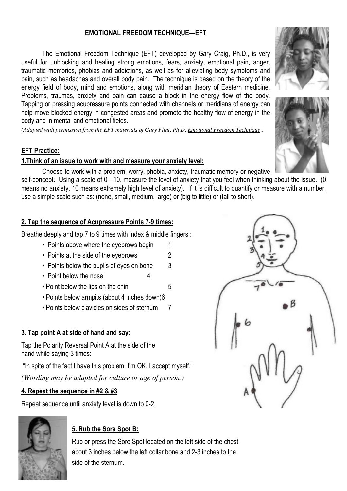#### **EMOTIONAL FREEDOM TECHNIQUE—EFT**

The Emotional Freedom Technique (EFT) developed by Gary Craig, Ph.D., is very useful for unblocking and healing strong emotions, fears, anxiety, emotional pain, anger, traumatic memories, phobias and addictions, as well as for alleviating body symptoms and pain, such as headaches and overall body pain. The technique is based on the theory of the energy field of body, mind and emotions, along with meridian theory of Eastern medicine. Problems, traumas, anxiety and pain can cause a block in the energy flow of the body. Tapping or pressing acupressure points connected with channels or meridians of energy can help move blocked energy in congested areas and promote the healthy flow of energy in the body and in mental and emotional fields.

*(Adapted with permission from the EFT materials of Gary Flint, Ph.D. Emotional Freedom Technique.)*

#### **EFT Practice:**

#### **1.Think of an issue to work with and measure your anxiety level:**

Choose to work with a problem, worry, phobia, anxiety, traumatic memory or negative

self-concept. Using a scale of 0—10, measure the level of anxiety that you feel when thinking about the issue. (0 means no anxiety, 10 means extremely high level of anxiety). If it is difficult to quantify or measure with a number, use a simple scale such as: (none, small, medium, large) or (big to little) or (tall to short).

#### **2. Tap the sequence of Acupressure Points 7-9 times:**

Breathe deeply and tap 7 to 9 times with index & middle fingers :

- Points above where the eyebrows begin 1
- Points at the side of the evebrows 2
- Points below the pupils of eyes on bone 3
- Point below the nose 4
- Point below the lips on the chin 5
- Points below armpits (about 4 inches down)6
- Points below clavicles on sides of sternum 7

#### **3. Tap point A at side of hand and say:**

Tap the Polarity Reversal Point A at the side of the hand while saying 3 times:

"In spite of the fact I have this problem, I'm OK, I accept myself."

*(Wording may be adapted for culture or age of person.)*

#### **4. Repeat the sequence in #2 & #3**

Repeat sequence until anxiety level is down to 0-2.



## **5. Rub the Sore Spot B:**

Rub or press the Sore Spot located on the left side of the chest about 3 inches below the left collar bone and 2-3 inches to the side of the sternum.





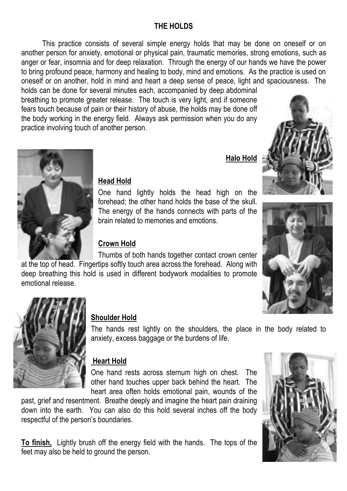## **THE HOLDS**

This practice consists of several simple energy holds that may be done on oneself or on another person for anxiety, emotional or physical pain, traumatic memories, strong emotions, such as anger or fear, insomnia and for deep relaxation. Through the energy of our hands we have the power to bring profound peace, harmony and healing to body, mind and emotions. As the practice is used on oneself or on another, hold in mind and heart a deep sense of peace, light and spaciousness. The holds can be done for several minutes each, accompanied by deep abdominal

breathing to promote greater release. The touch is very light, and if someone fears touch because of pain or their history of abuse, the holds may be done off the body working in the energy field. Always ask permission when you do any practice involving touch of another person.

 **Halo Hold**





## **Head Hold**

One hand lightly holds the head high on the forehead; the other hand holds the base of the skull. The energy of the hands connects with parts of the brain related to memories and emotions.

## **Crown Hold**

Thumbs of both hands together contact crown center at the top of head. Fingertips softly touch area across the forehead. Along with deep breathing this hold is used in different bodywork modalities to promote emotional release.





## **Shoulder Hold**

The hands rest lightly on the shoulders, the place in the body related to anxiety, excess baggage or the burdens of life.

## **Heart Hold**

One hand rests across sternum high on chest. The other hand touches upper back behind the heart. The heart area often holds emotional pain, wounds of the

past, grief and resentment. Breathe deeply and imagine the heart pain draining down into the earth. You can also do this hold several inches off the body respectful of the person's boundaries.

**To finish,** Lightly brush off the energy field with the hands. The tops of the feet may also be held to ground the person.

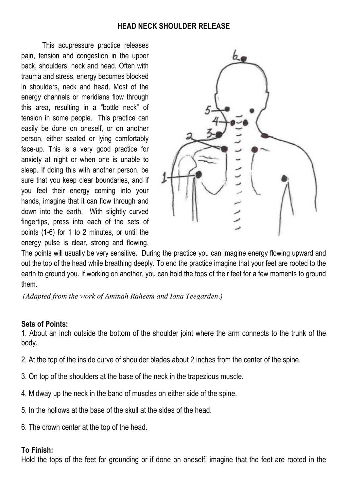#### **HEAD NECK SHOULDER RELEASE**

This acupressure practice releases pain, tension and congestion in the upper back, shoulders, neck and head. Often with trauma and stress, energy becomes blocked in shoulders, neck and head. Most of the energy channels or meridians flow through this area, resulting in a "bottle neck" of tension in some people. This practice can easily be done on oneself, or on another person, either seated or lying comfortably face-up. This is a very good practice for anxiety at night or when one is unable to sleep. If doing this with another person, be sure that you keep clear boundaries, and if you feel their energy coming into your hands, imagine that it can flow through and down into the earth. With slightly curved fingertips, press into each of the sets of points (1-6) for 1 to 2 minutes, or until the energy pulse is clear, strong and flowing.



The points will usually be very sensitive. During the practice you can imagine energy flowing upward and out the top of the head while breathing deeply. To end the practice imagine that your feet are rooted to the earth to ground you. If working on another, you can hold the tops of their feet for a few moments to ground them.

*(Adapted from the work of Aminah Raheem and Iona Teegarden.)*

## **Sets of Points:**

1. About an inch outside the bottom of the shoulder joint where the arm connects to the trunk of the body.

- 2. At the top of the inside curve of shoulder blades about 2 inches from the center of the spine.
- 3. On top of the shoulders at the base of the neck in the trapezious muscle.
- 4. Midway up the neck in the band of muscles on either side of the spine.
- 5. In the hollows at the base of the skull at the sides of the head.
- 6. The crown center at the top of the head.

## **To Finish:**

Hold the tops of the feet for grounding or if done on oneself, imagine that the feet are rooted in the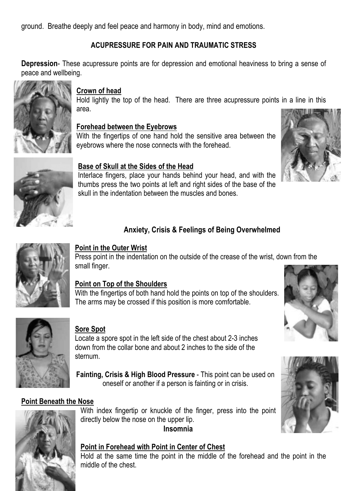ground. Breathe deeply and feel peace and harmony in body, mind and emotions.

## **ACUPRESSURE FOR PAIN AND TRAUMATIC STRESS**

**Depression**- These acupressure points are for depression and emotional heaviness to bring a sense of peace and wellbeing.



## **Crown of head**

Hold lightly the top of the head. There are three acupressure points in a line in this area.

## **Forehead between the Eyebrows**

With the fingertips of one hand hold the sensitive area between the eyebrows where the nose connects with the forehead.



## **Base of Skull at the Sides of the Head**

Interlace fingers, place your hands behind your head, and with the thumbs press the two points at left and right sides of the base of the skull in the indentation between the muscles and bones.

## **Anxiety, Crisis & Feelings of Being Overwhelmed**



## **Point in the Outer Wrist**

Press point in the indentation on the outside of the crease of the wrist, down from the small finger.

## **Point on Top of the Shoulders**

With the fingertips of both hand hold the points on top of the shoulders. The arms may be crossed if this position is more comfortable.



#### **Sore Spot**

Locate a spore spot in the left side of the chest about 2-3 inches down from the collar bone and about 2 inches to the side of the sternum.

**Fainting, Crisis & High Blood Pressure** - This point can be used on oneself or another if a person is fainting or in crisis.

## **Point Beneath the Nose**



With index fingertip or knuckle of the finger, press into the point directly below the nose on the upper lip.



#### **Point in Forehead with Point in Center of Chest**

Hold at the same time the point in the middle of the forehead and the point in the middle of the chest.



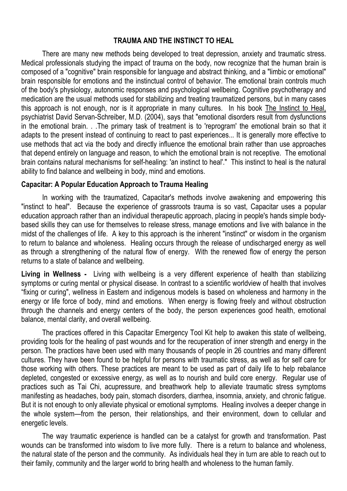#### **TRAUMA AND THE INSTINCT TO HEAL**

There are many new methods being developed to treat depression, anxiety and traumatic stress. Medical professionals studying the impact of trauma on the body, now recognize that the human brain is composed of a "cognitive" brain responsible for language and abstract thinking, and a "limbic or emotional" brain responsible for emotions and the instinctual control of behavior. The emotional brain controls much of the body's physiology, autonomic responses and psychological wellbeing. Cognitive psychotherapy and medication are the usual methods used for stabilizing and treating traumatized persons, but in many cases this approach is not enough, nor is it appropriate in many cultures. In his book The Instinct to Heal, psychiatrist David Servan-Schreiber, M.D. (2004), says that "emotional disorders result from dysfunctions in the emotional brain. . .The primary task of treatment is to 'reprogram' the emotional brain so that it adapts to the present instead of continuing to react to past experiences... It is generally more effective to use methods that act via the body and directly influence the emotional brain rather than use approaches that depend entirely on language and reason, to which the emotional brain is not receptive. The emotional brain contains natural mechanisms for self-healing: 'an instinct to heal'." This instinct to heal is the natural ability to find balance and wellbeing in body, mind and emotions.

#### **Capacitar: A Popular Education Approach to Trauma Healing**

In working with the traumatized, Capacitar's methods involve awakening and empowering this "instinct to heal". Because the experience of grassroots trauma is so vast, Capacitar uses a popular education approach rather than an individual therapeutic approach, placing in people's hands simple bodybased skills they can use for themselves to release stress, manage emotions and live with balance in the midst of the challenges of life. A key to this approach is the inherent "instinct" or wisdom in the organism to return to balance and wholeness. Healing occurs through the release of undischarged energy as well as through a strengthening of the natural flow of energy. With the renewed flow of energy the person returns to a state of balance and wellbeing.

**Living in Wellness -** Living with wellbeing is a very different experience of health than stabilizing symptoms or curing mental or physical disease. In contrast to a scientific worldview of health that involves "fixing or curing", wellness in Eastern and indigenous models is based on wholeness and harmony in the energy or life force of body, mind and emotions. When energy is flowing freely and without obstruction through the channels and energy centers of the body, the person experiences good health, emotional balance, mental clarity, and overall wellbeing.

The practices offered in this Capacitar Emergency Tool Kit help to awaken this state of wellbeing, providing tools for the healing of past wounds and for the recuperation of inner strength and energy in the person. The practices have been used with many thousands of people in 26 countries and many different cultures. They have been found to be helpful for persons with traumatic stress, as well as for self care for those working with others. These practices are meant to be used as part of daily life to help rebalance depleted, congested or excessive energy, as well as to nourish and build core energy. Regular use of practices such as Tai Chi, acupressure, and breathwork help to alleviate traumatic stress symptoms manifesting as headaches, body pain, stomach disorders, diarrhea, insomnia, anxiety, and chronic fatigue. But it is not enough to only alleviate physical or emotional symptoms. Healing involves a deeper change in the whole system—from the person, their relationships, and their environment, down to cellular and energetic levels.

The way traumatic experience is handled can be a catalyst for growth and transformation. Past wounds can be transformed into wisdom to live more fully. There is a return to balance and wholeness, the natural state of the person and the community. As individuals heal they in turn are able to reach out to their family, community and the larger world to bring health and wholeness to the human family.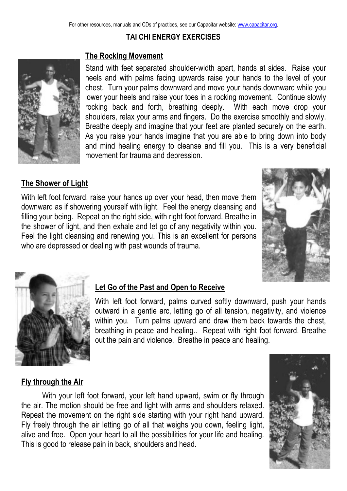## **TAI CHI ENERGY EXERCISES**



#### **The Rocking Movement**

Stand with feet separated shoulder-width apart, hands at sides. Raise your heels and with palms facing upwards raise your hands to the level of your chest. Turn your palms downward and move your hands downward while you lower your heels and raise your toes in a rocking movement. Continue slowly rocking back and forth, breathing deeply. With each move drop your shoulders, relax your arms and fingers. Do the exercise smoothly and slowly. Breathe deeply and imagine that your feet are planted securely on the earth. As you raise your hands imagine that you are able to bring down into body and mind healing energy to cleanse and fill you. This is a very beneficial movement for trauma and depression.

#### **The Shower of Light**

With left foot forward, raise your hands up over your head, then move them downward as if showering yourself with light. Feel the energy cleansing and filling your being. Repeat on the right side, with right foot forward. Breathe in the shower of light, and then exhale and let go of any negativity within you. Feel the light cleansing and renewing you. This is an excellent for persons who are depressed or dealing with past wounds of trauma.





#### **Let Go of the Past and Open to Receive**

With left foot forward, palms curved softly downward, push your hands outward in a gentle arc, letting go of all tension, negativity, and violence within you. Turn palms upward and draw them back towards the chest, breathing in peace and healing.. Repeat with right foot forward. Breathe out the pain and violence. Breathe in peace and healing.

#### **Fly through the Air**

With your left foot forward, your left hand upward, swim or fly through the air. The motion should be free and light with arms and shoulders relaxed. Repeat the movement on the right side starting with your right hand upward. Fly freely through the air letting go of all that weighs you down, feeling light, alive and free. Open your heart to all the possibilities for your life and healing. This is good to release pain in back, shoulders and head.